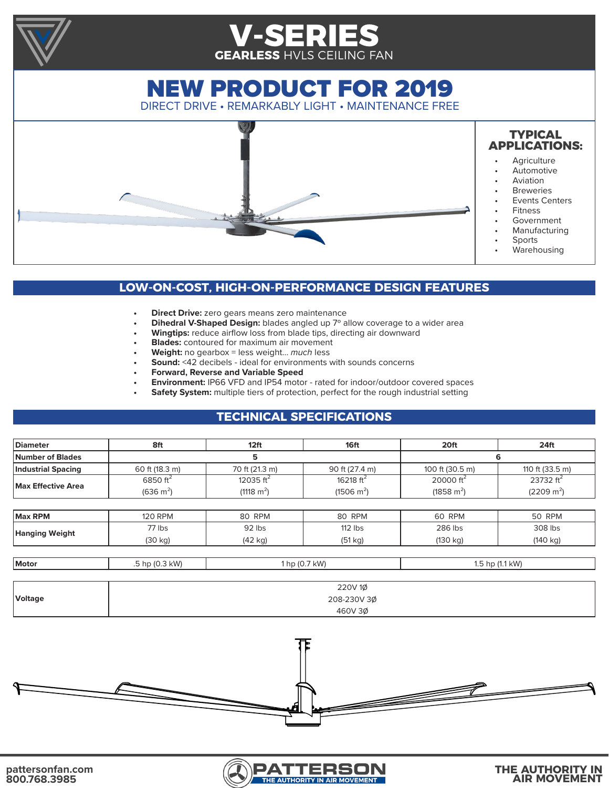



NEW PRODUCT FOR 2019 DIRECT DRIVE • REMARKABLY LIGHT • MAINTENANCE FREE



## **LOW-ON-COST, HIGH-ON-PERFORMANCE DESIGN FEATURES**

- **• Direct Drive:** zero gears means zero maintenance
- **Dihedral V-Shaped Design:** blades angled up 7° allow coverage to a wider area
- **• Wingtips:** reduce airflow loss from blade tips, directing air downward
- **• Blades:** contoured for maximum air movement
- **• Weight:** no gearbox = less weight... *much* less
- **Sound:** <42 decibels ideal for environments with sounds concerns
- **• Forward, Reverse and Variable Speed**
- **• Environment:** IP66 VFD and IP54 motor rated for indoor/outdoor covered spaces
- **• Safety System:** multiple tiers of protection, perfect for the rough industrial setting

## **TECHNICAL SPECIFICATIONS**

| <b>Diameter</b><br>8ft    |                     | 12 <sub>ft</sub>      | 16ft                  | 20ft                 | 24ft                  |  |
|---------------------------|---------------------|-----------------------|-----------------------|----------------------|-----------------------|--|
| <b>Number of Blades</b>   | 5<br>ь              |                       |                       |                      |                       |  |
| <b>Industrial Spacing</b> | 60 ft (18.3 m)      | 70 ft (21.3 m)        | 90 ft (27.4 m)        | 100 ft (30.5 m)      | 110 ft (33.5 m)       |  |
|                           | 6850 $ft^2$         | 12035 ft <sup>2</sup> | 16218 ft <sup>2</sup> | 20000 $\text{ft}^2$  | 23732 ft <sup>2</sup> |  |
| <b>Max Effective Area</b> | $(636 \text{ m}^2)$ | $(1118 \text{ m}^2)$  | $(1506 \text{ m}^2)$  | $(1858 \text{ m}^2)$ | $(2209 \text{ m}^2)$  |  |
|                           |                     |                       |                       |                      |                       |  |
| <b>Max RPM</b>            | <b>120 RPM</b>      | 80 RPM                | 80 RPM                | 60 RPM               | <b>50 RPM</b>         |  |
| <b>Hanging Weight</b>     | 77 lbs              | 92 lbs                | $112$ lbs             | 286 lbs              | 308 lbs               |  |
|                           | $(30 \text{ kg})$   | (42 kg)               | (51 kg)               | (130 kg)             | $(140 \text{ kg})$    |  |

| Motor | $5 \text{ h} \cap (0, 3 \text{ k})$ | hp (0.7 kW) | $1.5$ hp $(1.1$ kW |
|-------|-------------------------------------|-------------|--------------------|
|       |                                     |             |                    |

460V 3Ø **Voltage** 220V 1Ø 208-230V 3Ø